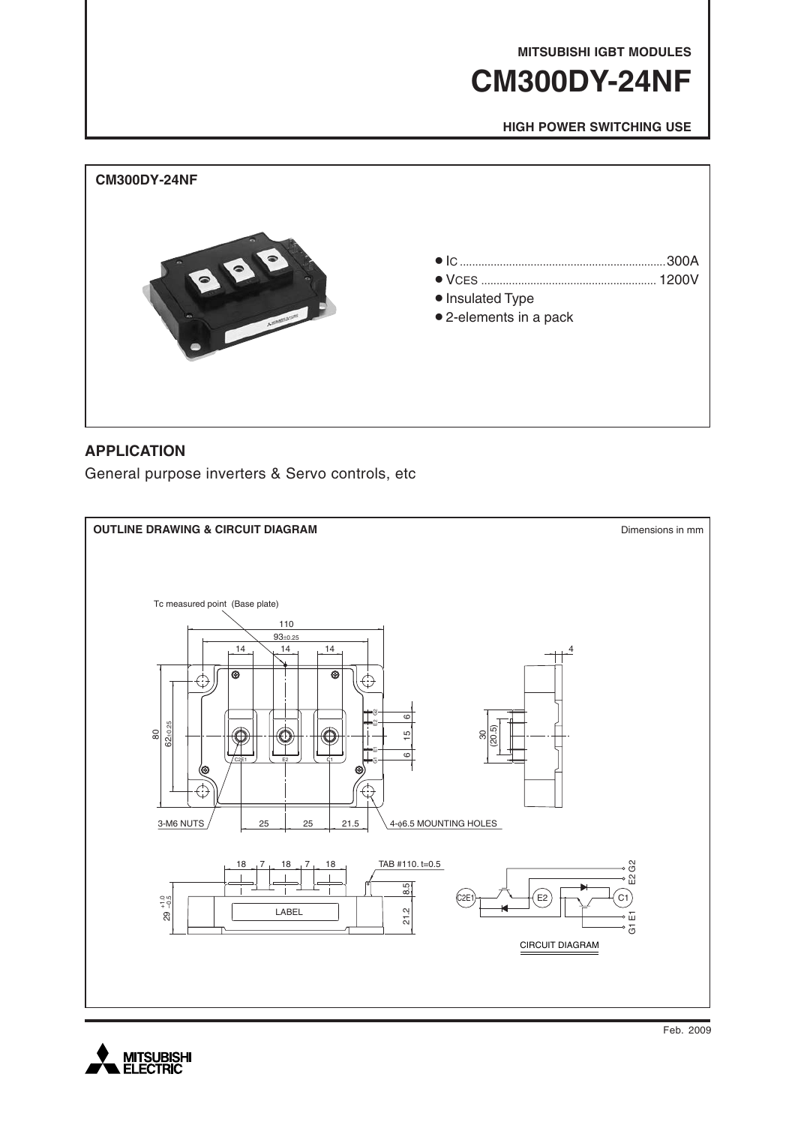**MITSUBISHI IGBT MODULES**

# **CM300DY-24NF**

**HIGH POWER SWITCHING USE**



### **APPLICATION**

General purpose inverters & Servo controls, etc



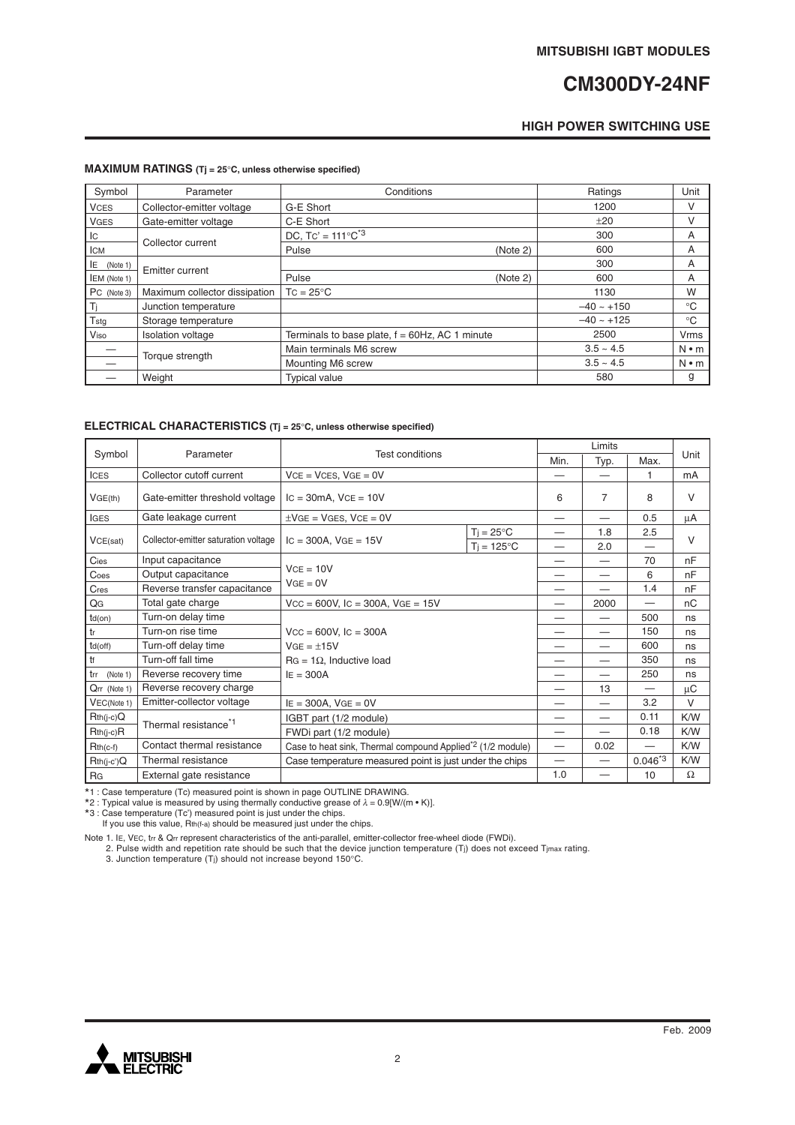## **CM300DY-24NF**

### **HIGH POWER SWITCHING USE**

#### **MAXIMUM RATINGS (Tj = 25**°**C, unless otherwise specified)**

| Symbol              | Parameter                     | Conditions                                        |          | Ratings         | Unit         |
|---------------------|-------------------------------|---------------------------------------------------|----------|-----------------|--------------|
| <b>VCES</b>         | Collector-emitter voltage     | G-E Short                                         |          | 1200            | v            |
| <b>VGES</b>         | Gate-emitter voltage          | C-E Short                                         |          | ±20             | V            |
| Iс                  | Collector current             | DC. Tc' = $111^{\circ}$ C <sup>*3</sup>           |          | 300             | A            |
| <b>ICM</b>          |                               | Pulse                                             | (Note 2) | 600             | A            |
| ΙE<br>(Note 1)      | Emitter current               |                                                   |          | 300             | A            |
| <b>IEM</b> (Note 1) |                               | Pulse                                             | (Note 2) | 600             | A            |
| PC (Note 3)         | Maximum collector dissipation | $TC = 25^{\circ}C$                                |          | 1130            | W            |
|                     | Junction temperature          |                                                   |          | $-40 \sim +150$ | $^{\circ}$ C |
| Tstg                | Storage temperature           |                                                   |          | $-40 \sim +125$ | $^{\circ}C$  |
| Viso                | <b>Isolation voltage</b>      | Terminals to base plate, $f = 60Hz$ , AC 1 minute |          | 2500            | <b>Vrms</b>  |
|                     |                               | Main terminals M6 screw                           |          | $3.5 \sim 4.5$  | $N \cdot m$  |
|                     | Torque strength               | Mounting M6 screw                                 |          | $3.5 - 4.5$     | $N \cdot m$  |
|                     | Weight                        | <b>Typical value</b>                              |          | 580             | g            |

### **ELECTRICAL CHARACTERISTICS (Tj = 25**°**C, unless otherwise specified)**

|                 |                                      | <b>Test conditions</b>                                                                                 |                                  | Limits                           |                          |                               |          |
|-----------------|--------------------------------------|--------------------------------------------------------------------------------------------------------|----------------------------------|----------------------------------|--------------------------|-------------------------------|----------|
| Symbol          | Parameter                            |                                                                                                        |                                  | Min.                             | Typ.                     | Max.                          | Unit     |
| <b>ICES</b>     | Collector cutoff current             | $VCE = VCES, VGE = 0V$                                                                                 |                                  |                                  |                          | 1                             | mA       |
| VGE(th)         | Gate-emitter threshold voltage       | $\text{IC} = 30 \text{mA}$ , $\text{VCE} = 10 \text{V}$                                                |                                  | 6                                | 7                        | 8                             | V        |
| <b>IGES</b>     | Gate leakage current                 | $\pm$ VGE = VGES, VCE = 0V                                                                             |                                  |                                  | $\overline{\phantom{0}}$ | 0.5                           | μA       |
| VCE(sat)        | Collector-emitter saturation voltage | $T_i = 25^{\circ}C$<br>$IC = 300A$ , $VGE = 15V$<br>$Ti = 125^{\circ}C$                                |                                  |                                  | 1.8                      | 2.5                           | $\vee$   |
|                 |                                      |                                                                                                        |                                  |                                  | 2.0                      |                               |          |
| Cies            | Input capacitance                    | $VCE = 10V$<br>$VGE = 0V$                                                                              |                                  |                                  | $\overline{\phantom{0}}$ | 70                            | nF       |
| Coes            | Output capacitance                   |                                                                                                        |                                  |                                  |                          | 6                             | nF       |
| Cres            | Reverse transfer capacitance         |                                                                                                        |                                  |                                  |                          | 1.4                           | nF       |
| QG              | Total gate charge                    | $VCC = 600V$ , $IC = 300A$ , $VGE = 15V$                                                               |                                  |                                  | 2000                     |                               | nC       |
| $td($ on $)$    | Turn-on delay time                   |                                                                                                        |                                  |                                  |                          | 500                           | ns       |
| tr              | Turn-on rise time                    | $Vcc = 600V$ , $lc = 300A$<br>$VGE = \pm 15V$<br>$\text{RG} = 1\Omega$ . Inductive load<br>$IE = 300A$ |                                  | –                                |                          | 150                           | ns       |
| $td($ off $)$   | Turn-off delay time                  |                                                                                                        |                                  | $\overbrace{\phantom{12322111}}$ |                          | 600                           | ns       |
| tf              | Turn-off fall time                   |                                                                                                        |                                  |                                  |                          | 350                           | ns       |
| trr<br>(Note 1) | Reverse recovery time                |                                                                                                        |                                  |                                  |                          | 250                           | ns       |
| Qrr (Note 1)    | Reverse recovery charge              |                                                                                                        |                                  |                                  | 13                       | $\overbrace{\phantom{13333}}$ | μC       |
| VEC(Note 1)     | Emitter-collector voltage            | $IE = 300A$ , $VGE = 0V$                                                                               |                                  | $\overline{\phantom{0}}$         | 3.2                      | $\vee$                        |          |
| $Rth(i-c)Q$     | Thermal resistance <sup>*1</sup>     | IGBT part (1/2 module)                                                                                 |                                  | $\overline{\phantom{0}}$         | $\overline{\phantom{0}}$ | 0.11                          | K/W      |
| $Rth(j-c)R$     |                                      | FWDi part (1/2 module)                                                                                 |                                  | —                                | ═                        | 0.18                          | K/W      |
| $Rth(c-f)$      | Contact thermal resistance           | Case to heat sink, Thermal compound Applied <sup>*2</sup> (1/2 module)                                 | $\overbrace{\phantom{12322111}}$ | 0.02                             | $\overline{\phantom{0}}$ | K/W                           |          |
| $Rth(j-c')Q$    | Thermal resistance                   | Case temperature measured point is just under the chips                                                |                                  |                                  | $\overline{\phantom{0}}$ | $0.046^{*3}$                  | K/W      |
| RG              | External gate resistance             |                                                                                                        |                                  | 1.0                              |                          | 10                            | $\Omega$ |

\*1 : Case temperature (Tc) measured point is shown in page OUTLINE DRAWING. \*2 : Typical value is measured by using thermally conductive grease of <sup>λ</sup> = 0.9[W/(m • K)].

\*3 : Case temperature (Tc') measured point is just under the chips. If you use this value, Rth(f-a) should be measured just under the chips.

Note 1. IE, VEC, tn & Qn represent characteristics of the anti-parallel, emitter-collector free-wheel diode (FWDi).<br>2. Pulse width and repetition rate should be such that the device junction temperature (Tj) does not exce

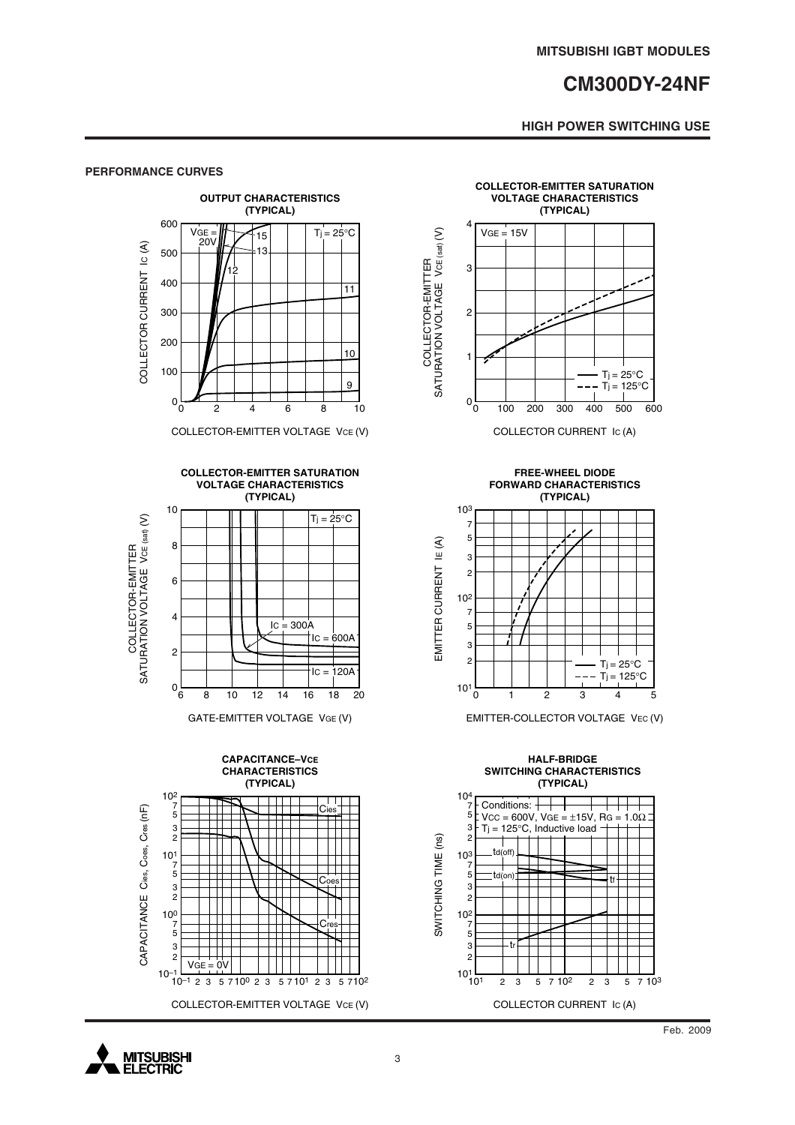### **CM300DY-24NF**

### **HIGH POWER SWITCHING USE**

#### **PERFORMANCE CURVES**



COLLECTOR-EMITTER VOLTAGE VCE (V)

**COLLECTOR-EMITTER SATURATION**



GATE-EMITTER VOLTAGE VGE (V)





**FREE-WHEEL DIODE FORWARD CHARACTERISTICS**



EMITTER-COLLECTOR VOLTAGE VEC (V)